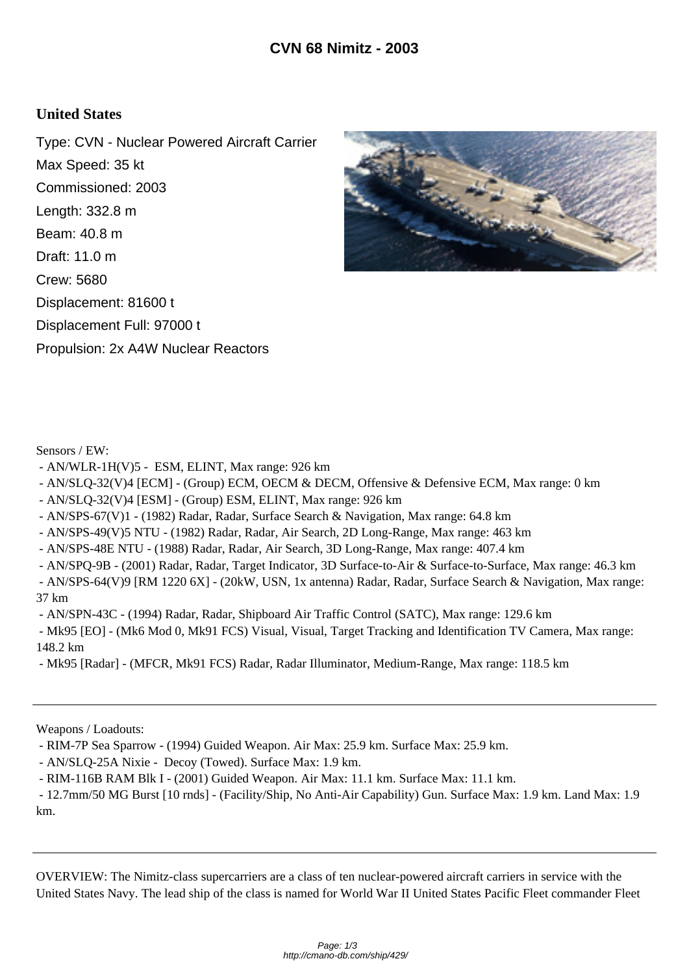## **United States**

Type: CVN - Nuclear Powered Aircraft Carrier Max Speed: 35 kt Commissioned: 2003 Length: 332.8 m Beam: 40.8 m Draft: 11.0 m Crew: 5680 Displacement: 81600 t Displacement Full: 97000 t Propulsion: 2x A4W Nuclear Reactors



Sensors / EW:

- AN/WLR-1H(V)5 ESM, ELINT, Max range: 926 km
- AN/SLQ-32(V)4 [ECM] (Group) ECM, OECM & DECM, Offensive & Defensive ECM, Max range: 0 km
- AN/SLQ-32(V)4 [ESM] (Group) ESM, ELINT, Max range: 926 km
- AN/SPS-67(V)1 (1982) Radar, Radar, Surface Search & Navigation, Max range: 64.8 km
- AN/SPS-49(V)5 NTU (1982) Radar, Radar, Air Search, 2D Long-Range, Max range: 463 km
- AN/SPS-48E NTU (1988) Radar, Radar, Air Search, 3D Long-Range, Max range: 407.4 km

 - AN/SPQ-9B - (2001) Radar, Radar, Target Indicator, 3D Surface-to-Air & Surface-to-Surface, Max range: 46.3 km - AN/SPS-64(V)9 [RM 1220 6X] - (20kW, USN, 1x antenna) Radar, Radar, Surface Search & Navigation, Max range: 37 km

- AN/SPN-43C - (1994) Radar, Radar, Shipboard Air Traffic Control (SATC), Max range: 129.6 km

 - Mk95 [EO] - (Mk6 Mod 0, Mk91 FCS) Visual, Visual, Target Tracking and Identification TV Camera, Max range: 148.2 km

- Mk95 [Radar] - (MFCR, Mk91 FCS) Radar, Radar Illuminator, Medium-Range, Max range: 118.5 km

Weapons / Loadouts:

- RIM-7P Sea Sparrow - (1994) Guided Weapon. Air Max: 25.9 km. Surface Max: 25.9 km.

- AN/SLQ-25A Nixie - Decoy (Towed). Surface Max: 1.9 km.

- RIM-116B RAM Blk I - (2001) Guided Weapon. Air Max: 11.1 km. Surface Max: 11.1 km.

 - 12.7mm/50 MG Burst [10 rnds] - (Facility/Ship, No Anti-Air Capability) Gun. Surface Max: 1.9 km. Land Max: 1.9 km.

OVERVIEW: The Nimitz-class supercarriers are a class of ten nuclear-powered aircraft carriers in service with the United States Navy. The lead ship of the class is named for World War II United States Pacific Fleet commander Fleet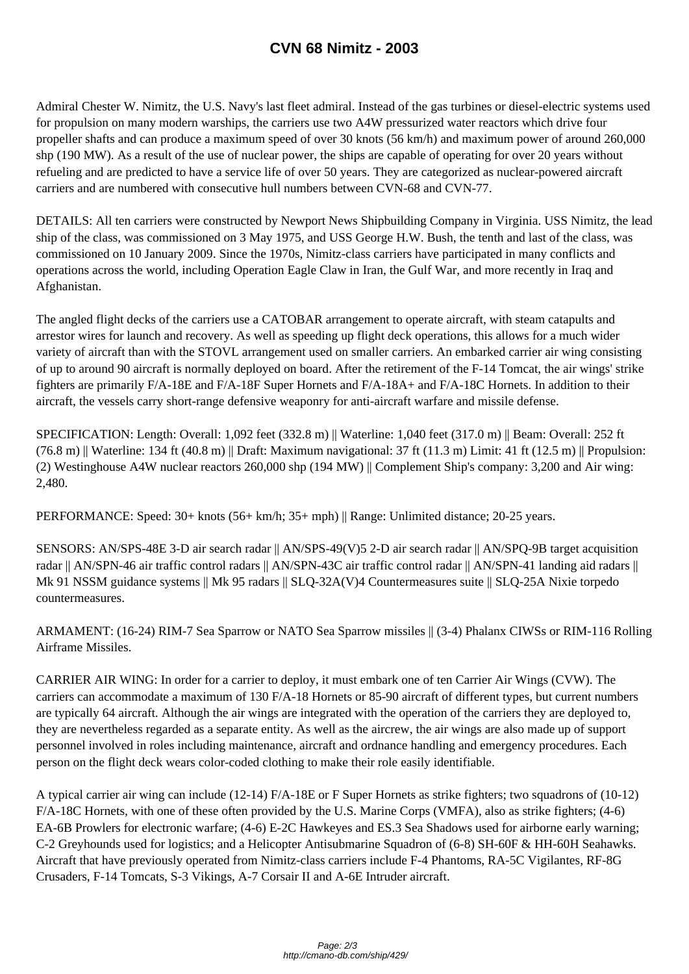Admiral Chester W. Nimitz, the U.S. Navy's [last fleet admiral. Instead of th](http://cmano-db.com/ship/429/)e gas turbines or diesel-electric systems used for propulsion on many modern warships, the carriers use two A4W pressurized water reactors which drive four propeller shafts and can produce a maximum speed of over 30 knots (56 km/h) and maximum power of around 260,000 shp (190 MW). As a result of the use of nuclear power, the ships are capable of operating for over 20 years without refueling and are predicted to have a service life of over 50 years. They are categorized as nuclear-powered aircraft carriers and are numbered with consecutive hull numbers between CVN-68 and CVN-77.

DETAILS: All ten carriers were constructed by Newport News Shipbuilding Company in Virginia. USS Nimitz, the lead ship of the class, was commissioned on 3 May 1975, and USS George H.W. Bush, the tenth and last of the class, was commissioned on 10 January 2009. Since the 1970s, Nimitz-class carriers have participated in many conflicts and operations across the world, including Operation Eagle Claw in Iran, the Gulf War, and more recently in Iraq and Afghanistan.

The angled flight decks of the carriers use a CATOBAR arrangement to operate aircraft, with steam catapults and arrestor wires for launch and recovery. As well as speeding up flight deck operations, this allows for a much wider variety of aircraft than with the STOVL arrangement used on smaller carriers. An embarked carrier air wing consisting of up to around 90 aircraft is normally deployed on board. After the retirement of the F-14 Tomcat, the air wings' strike fighters are primarily F/A-18E and F/A-18F Super Hornets and F/A-18A+ and F/A-18C Hornets. In addition to their aircraft, the vessels carry short-range defensive weaponry for anti-aircraft warfare and missile defense.

SPECIFICATION: Length: Overall: 1,092 feet (332.8 m) || Waterline: 1,040 feet (317.0 m) || Beam: Overall: 252 ft  $(76.8 \text{ m})$  Waterline: 134 ft (40.8 m) || Draft: Maximum navigational: 37 ft (11.3 m) Limit: 41 ft (12.5 m) || Propulsion: (2) Westinghouse A4W nuclear reactors 260,000 shp (194 MW) || Complement Ship's company: 3,200 and Air wing: 2,480.

PERFORMANCE: Speed: 30+ knots (56+ km/h; 35+ mph) || Range: Unlimited distance; 20-25 years.

SENSORS: AN/SPS-48E 3-D air search radar || AN/SPS-49(V)5 2-D air search radar || AN/SPQ-9B target acquisition radar || AN/SPN-46 air traffic control radars || AN/SPN-43C air traffic control radar || AN/SPN-41 landing aid radars || Mk 91 NSSM guidance systems || Mk 95 radars || SLQ-32A(V)4 Countermeasures suite || SLQ-25A Nixie torpedo countermeasures.

ARMAMENT: (16-24) RIM-7 Sea Sparrow or NATO Sea Sparrow missiles || (3-4) Phalanx CIWSs or RIM-116 Rolling Airframe Missiles.

CARRIER AIR WING: In order for a carrier to deploy, it must embark one of ten Carrier Air Wings (CVW). The carriers can accommodate a maximum of 130 F/A-18 Hornets or 85-90 aircraft of different types, but current numbers are typically 64 aircraft. Although the air wings are integrated with the operation of the carriers they are deployed to, they are nevertheless regarded as a separate entity. As well as the aircrew, the air wings are also made up of support personnel involved in roles including maintenance, aircraft and ordnance handling and emergency procedures. Each person on the flight deck wears color-coded clothing to make their role easily identifiable.

A typical carrier air wing can include (12-14) F/A-18E or F Super Hornets as strike fighters; two squadrons of (10-12) F/A-18C Hornets, with one of these often provided by the U.S. Marine Corps (VMFA), also as strike fighters; (4-6) EA-6B Prowlers for electronic warfare; (4-6) E-2C Hawkeyes and ES.3 Sea Shadows used for airborne early warning; C-2 Greyhounds used for logistics; and a Helicopter Antisubmarine Squadron of (6-8) SH-60F & HH-60H Seahawks. Aircraft that have previously operated from Nimitz-class carriers include F-4 Phantoms, RA-5C Vigilantes, RF-8G Crusaders, F-14 Tomcats, S-3 Vikings, A-7 Corsair II and A-6E Intruder aircraft.